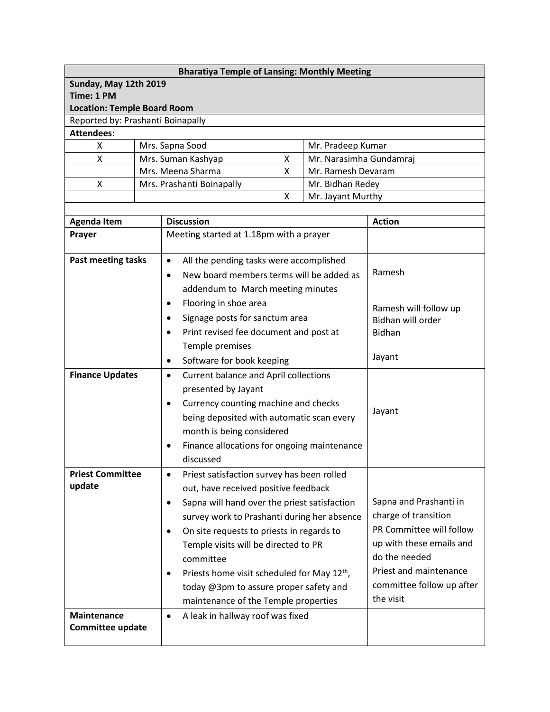| <b>Bharatiya Temple of Lansing: Monthly Meeting</b> |                                               |                                                                              |                                                         |                                        |                                            |  |  |  |
|-----------------------------------------------------|-----------------------------------------------|------------------------------------------------------------------------------|---------------------------------------------------------|----------------------------------------|--------------------------------------------|--|--|--|
| Sunday, May 12th 2019                               |                                               |                                                                              |                                                         |                                        |                                            |  |  |  |
| Time: 1 PM                                          |                                               |                                                                              |                                                         |                                        |                                            |  |  |  |
| <b>Location: Temple Board Room</b>                  |                                               |                                                                              |                                                         |                                        |                                            |  |  |  |
| Reported by: Prashanti Boinapally                   |                                               |                                                                              |                                                         |                                        |                                            |  |  |  |
| <b>Attendees:</b>                                   |                                               |                                                                              |                                                         |                                        |                                            |  |  |  |
| X                                                   | Mrs. Sapna Sood                               |                                                                              |                                                         | Mr. Pradeep Kumar                      |                                            |  |  |  |
| X                                                   |                                               | Mr. Narasimha Gundamraj<br>Mrs. Suman Kashyap<br>X<br>Mrs. Meena Sharma<br>Χ |                                                         |                                        |                                            |  |  |  |
| Χ                                                   |                                               | Mrs. Prashanti Boinapally                                                    |                                                         | Mr. Ramesh Devaram<br>Mr. Bidhan Redey |                                            |  |  |  |
|                                                     |                                               |                                                                              | X<br>Mr. Jayant Murthy                                  |                                        |                                            |  |  |  |
|                                                     |                                               |                                                                              |                                                         |                                        |                                            |  |  |  |
| <b>Agenda Item</b>                                  |                                               | <b>Discussion</b>                                                            |                                                         |                                        | <b>Action</b>                              |  |  |  |
| Prayer                                              |                                               | Meeting started at 1.18pm with a prayer                                      |                                                         |                                        |                                            |  |  |  |
|                                                     |                                               |                                                                              |                                                         |                                        |                                            |  |  |  |
| <b>Past meeting tasks</b>                           |                                               | All the pending tasks were accomplished<br>$\bullet$                         |                                                         |                                        |                                            |  |  |  |
|                                                     |                                               | New board members terms will be added as<br>$\bullet$                        |                                                         |                                        | Ramesh                                     |  |  |  |
|                                                     |                                               | addendum to March meeting minutes                                            |                                                         |                                        |                                            |  |  |  |
|                                                     |                                               | Flooring in shoe area<br>$\bullet$                                           |                                                         |                                        |                                            |  |  |  |
|                                                     |                                               | Signage posts for sanctum area                                               |                                                         |                                        | Ramesh will follow up<br>Bidhan will order |  |  |  |
|                                                     |                                               | Print revised fee document and post at<br>$\bullet$                          |                                                         |                                        | <b>Bidhan</b>                              |  |  |  |
|                                                     |                                               | Temple premises                                                              |                                                         |                                        |                                            |  |  |  |
|                                                     |                                               | Software for book keeping<br>$\bullet$                                       |                                                         |                                        | Jayant                                     |  |  |  |
| <b>Finance Updates</b>                              |                                               |                                                                              |                                                         |                                        |                                            |  |  |  |
|                                                     |                                               | <b>Current balance and April collections</b><br>$\bullet$                    |                                                         |                                        |                                            |  |  |  |
|                                                     |                                               | presented by Jayant                                                          |                                                         |                                        | Jayant                                     |  |  |  |
|                                                     |                                               | Currency counting machine and checks<br>$\bullet$                            |                                                         |                                        |                                            |  |  |  |
|                                                     |                                               | being deposited with automatic scan every                                    |                                                         |                                        |                                            |  |  |  |
|                                                     |                                               | month is being considered                                                    |                                                         |                                        |                                            |  |  |  |
|                                                     |                                               | Finance allocations for ongoing maintenance<br>$\bullet$                     |                                                         |                                        |                                            |  |  |  |
|                                                     |                                               | discussed                                                                    |                                                         |                                        |                                            |  |  |  |
| <b>Priest Committee</b>                             |                                               | Priest satisfaction survey has been rolled<br>$\bullet$                      |                                                         |                                        |                                            |  |  |  |
| update                                              |                                               | out, have received positive feedback                                         |                                                         |                                        |                                            |  |  |  |
|                                                     |                                               | Sapna will hand over the priest satisfaction<br>$\bullet$                    |                                                         |                                        | Sapna and Prashanti in                     |  |  |  |
|                                                     |                                               | survey work to Prashanti during her absence                                  |                                                         |                                        | charge of transition                       |  |  |  |
|                                                     |                                               | On site requests to priests in regards to<br>$\bullet$                       |                                                         |                                        | PR Committee will follow                   |  |  |  |
|                                                     |                                               | Temple visits will be directed to PR                                         |                                                         |                                        | up with these emails and                   |  |  |  |
|                                                     |                                               | committee                                                                    |                                                         |                                        | do the needed<br>Priest and maintenance    |  |  |  |
|                                                     |                                               | $\bullet$                                                                    | Priests home visit scheduled for May 12 <sup>th</sup> , |                                        |                                            |  |  |  |
|                                                     |                                               | today @3pm to assure proper safety and                                       |                                                         |                                        | committee follow up after                  |  |  |  |
|                                                     |                                               | maintenance of the Temple properties                                         |                                                         |                                        | the visit                                  |  |  |  |
| <b>Maintenance</b>                                  | A leak in hallway roof was fixed<br>$\bullet$ |                                                                              |                                                         |                                        |                                            |  |  |  |
| Committee update                                    |                                               |                                                                              |                                                         |                                        |                                            |  |  |  |
|                                                     |                                               |                                                                              |                                                         |                                        |                                            |  |  |  |